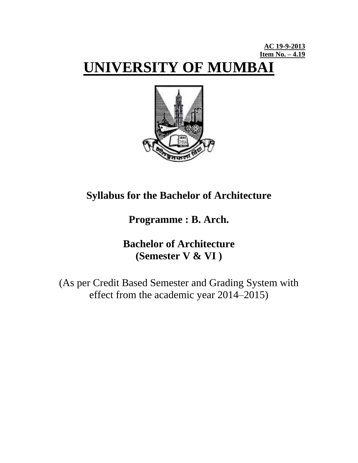# **AC 19-9-2013 Item No. – 4.19 UNIVERSITY OF MUMBAI**



# **Syllabus for the Bachelor of Architecture**

**Programme : B. Arch.**

# **Bachelor of Architecture (Semester V & VI )**

(As per Credit Based Semester and Grading System with effect from the academic year 2014–2015)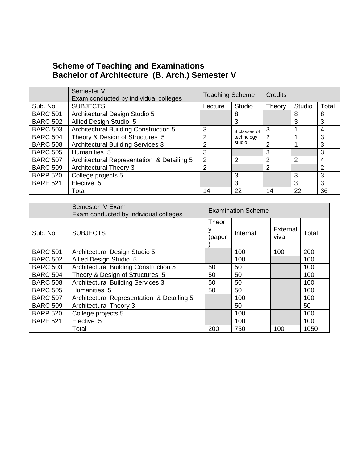# **Scheme of Teaching and Examinations Bachelor of Architecture (B. Arch.) Semester V**

|                 | Semester V<br>Exam conducted by individual colleges | <b>Teaching Scheme</b> |              | Credits        |        |       |
|-----------------|-----------------------------------------------------|------------------------|--------------|----------------|--------|-------|
| Sub. No.        | <b>SUBJECTS</b>                                     | Lecture                | Studio       | Theory         | Studio | Total |
| <b>BARC 501</b> | Architectural Design Studio 5                       |                        | 8            |                | 8      | 8     |
| <b>BARC 502</b> | Allied Design Studio 5                              |                        | 3            |                | 3      | 3     |
| <b>BARC 503</b> | Architectural Building Construction 5               | 3                      | 3 classes of | 3              |        | 4     |
| <b>BARC 504</b> | Theory & Design of Structures 5                     | 2                      | technology   | $\overline{2}$ |        | 3     |
| <b>BARC 508</b> | <b>Architectural Building Services 3</b>            | 2                      | studio       | $\overline{2}$ |        | 3     |
| <b>BARC 505</b> | Humanities 5                                        | 3                      |              | 3              |        | 3     |
| <b>BARC 507</b> | Architectural Representation & Detailing 5          | $\overline{2}$         | 2            | 2              | 2      | 4     |
| <b>BARC 509</b> | <b>Architectural Theory 3</b>                       | 2                      |              | 2              |        | 2     |
| <b>BARP 520</b> | College projects 5                                  |                        | 3            |                | 3      | 3     |
| <b>BARE 521</b> | Elective 5                                          |                        | 3            |                | 3      | 3     |
|                 | Total                                               | 14                     | 22           | 14             | 22     | 36    |

|                 | Semester V Exam<br>Exam conducted by individual colleges | <b>Examination Scheme</b> |          |                  |       |  |  |
|-----------------|----------------------------------------------------------|---------------------------|----------|------------------|-------|--|--|
| Sub. No.        | <b>SUBJECTS</b>                                          | Theor<br>(paper           | Internal | External<br>viva | Total |  |  |
| <b>BARC 501</b> | Architectural Design Studio 5                            |                           | 100      | 100              | 200   |  |  |
| <b>BARC 502</b> | Allied Design Studio 5                                   |                           | 100      |                  | 100   |  |  |
| <b>BARC 503</b> | <b>Architectural Building Construction 5</b>             | 50                        | 50       |                  | 100   |  |  |
| <b>BARC 504</b> | Theory & Design of Structures 5                          | 50                        | 50       |                  | 100   |  |  |
| <b>BARC 508</b> | <b>Architectural Building Services 3</b>                 | 50                        | 50       |                  | 100   |  |  |
| <b>BARC 505</b> | Humanities 5                                             | 50                        | 50       |                  | 100   |  |  |
| <b>BARC 507</b> | Architectural Representation & Detailing 5               |                           | 100      |                  | 100   |  |  |
| <b>BARC 509</b> | <b>Architectural Theory 3</b>                            |                           | 50       |                  | 50    |  |  |
| <b>BARP 520</b> | College projects 5                                       |                           | 100      |                  | 100   |  |  |
| <b>BARE 521</b> | Elective 5                                               |                           | 100      |                  | 100   |  |  |
|                 | Total                                                    | 200                       | 750      | 100              | 1050  |  |  |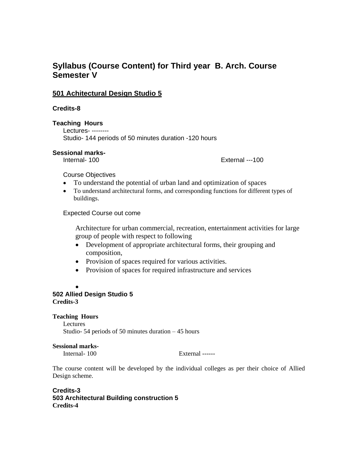# **Syllabus (Course Content) for Third year B. Arch. Course Semester V**

# **501 Achitectural Design Studio 5**

#### **Credits-8**

#### **Teaching Hours**

Lectures- -------- Studio- 144 periods of 50 minutes duration -120 hours

#### **Sessional marks-**

Internal- 100 External ---100

Course Objectives

- To understand the potential of urban land and optimization of spaces
- To understand architectural forms, and corresponding functions for different types of buildings.

#### Expected Course out come

Architecture for urban commercial, recreation, entertainment activities for large group of people with respect to following

- Development of appropriate architectural forms, their grouping and composition,
- Provision of spaces required for various activities.
- Provision of spaces for required infrastructure and services
- $\bullet$

# **502 Allied Design Studio 5 Credits-3**

#### **Teaching Hours**

Lectures Studio- 54 periods of 50 minutes duration – 45 hours

#### **Sessional marks-**

Internal- 100 External ------

The course content will be developed by the individual colleges as per their choice of Allied Design scheme.

#### **Credits-3 503 Architectural Building construction 5 Credits-4**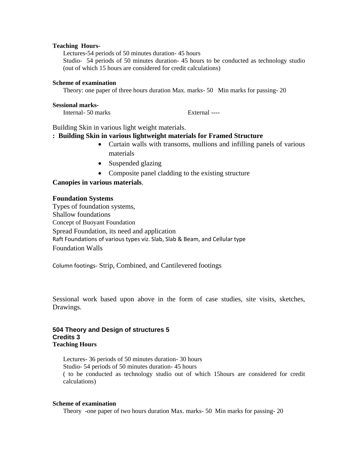#### **Teaching Hours-**

Lectures-54 periods of 50 minutes duration- 45 hours Studio- 54 periods of 50 minutes duration- 45 hours to be conducted as technology studio (out of which 15 hours are considered for credit calculations)

#### **Scheme of examination**

Theory: one paper of three hours duration Max. marks- 50 Min marks for passing- 20

#### **Sessional marks-**

Internal- 50 marks External ----

Building Skin in various light weight materials.

#### **: Building Skin in various lightweight materials for Framed Structure**

- Curtain walls with transoms, mullions and infilling panels of various materials
- Suspended glazing
- Composite panel cladding to the existing structure

**Canopies in various materials**.

#### **Foundation Systems**

Types of foundation systems, Shallow foundations Concept of Buoyant Foundation Spread Foundation, its need and application Raft Foundations of various types viz. Slab, Slab & Beam, and Cellular type Foundation Walls

Column footings- Strip, Combined, and Cantilevered footings

Sessional work based upon above in the form of case studies, site visits, sketches, Drawings.

#### **504 Theory and Design of structures 5 Credits 3 Teaching Hours**

Lectures- 36 periods of 50 minutes duration- 30 hours Studio- 54 periods of 50 minutes duration- 45 hours ( to be conducted as technology studio out of which 15hours are considered for credit calculations)

#### **Scheme of examination**

Theory -one paper of two hours duration Max. marks- 50 Min marks for passing- 20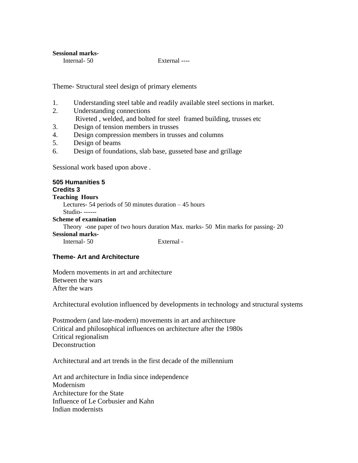**Sessional marks-**Internal- 50 External ----

Theme- Structural steel design of primary elements

- 1. Understanding steel table and readily available steel sections in market.
- 2. Understanding connections Riveted , welded, and bolted for steel framed building, trusses etc
- 3. Design of tension members in trusses
- 4. Design compression members in trusses and columns
- 5. Design of beams
- 6. Design of foundations, slab base, gusseted base and grillage

Sessional work based upon above .

| 505 Humanities 5<br><b>Credits 3</b><br><b>Teaching Hours</b>                    |  |
|----------------------------------------------------------------------------------|--|
| Lectures- 54 periods of 50 minutes duration $-45$ hours<br>$Studio$ ------       |  |
| <b>Scheme of examination</b>                                                     |  |
| Theory -one paper of two hours duration Max. marks- 50 Min marks for passing- 20 |  |
| <b>Sessional marks-</b>                                                          |  |
| Internal- 50<br>External -                                                       |  |

#### **Theme- Art and Architecture**

Modern movements in art and architecture Between the wars After the wars

Architectural evolution influenced by developments in technology and structural systems

Postmodern (and late-modern) movements in art and architecture Critical and philosophical influences on architecture after the 1980s Critical regionalism **Deconstruction** 

Architectural and art trends in the first decade of the millennium

Art and architecture in India since independence Modernism Architecture for the State Influence of Le Corbusier and Kahn Indian modernists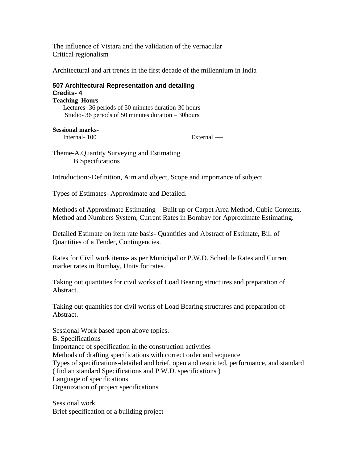The influence of Vistara and the validation of the vernacular Critical regionalism

Architectural and art trends in the first decade of the millennium in India

#### **507 Architectural Representation and detailing Credits- 4 Teaching Hours**

Lectures- 36 periods of 50 minutes duration-30 hours Studio- 36 periods of 50 minutes duration – 30hours

# **Sessional marks-**

Internal- 100 External ----

Theme-A.Quantity Surveying and Estimating B.Specifications

Introduction:-Definition, Aim and object, Scope and importance of subject.

Types of Estimates- Approximate and Detailed.

Methods of Approximate Estimating – Built up or Carpet Area Method, Cubic Contents, Method and Numbers System, Current Rates in Bombay for Approximate Estimating.

Detailed Estimate on item rate basis- Quantities and Abstract of Estimate, Bill of Quantities of a Tender, Contingencies.

Rates for Civil work items- as per Municipal or P.W.D. Schedule Rates and Current market rates in Bombay, Units for rates.

Taking out quantities for civil works of Load Bearing structures and preparation of Abstract.

Taking out quantities for civil works of Load Bearing structures and preparation of Abstract.

Sessional Work based upon above topics. B. Specifications Importance of specification in the construction activities Methods of drafting specifications with correct order and sequence Types of specifications-detailed and brief, open and restricted, performance, and standard ( Indian standard Specifications and P.W.D. specifications ) Language of specifications Organization of project specifications

Sessional work Brief specification of a building project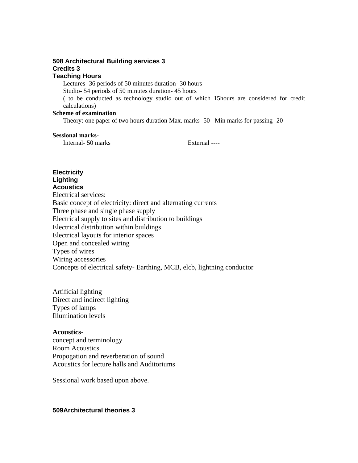# **508 Architectural Building services 3 Credits 3**

#### **Teaching Hours**

Lectures- 36 periods of 50 minutes duration- 30 hours Studio- 54 periods of 50 minutes duration- 45 hours ( to be conducted as technology studio out of which 15hours are considered for credit calculations)

#### **Scheme of examination**

Theory: one paper of two hours duration Max. marks- 50 Min marks for passing- 20

#### **Sessional marks-**

Internal- 50 marks External ----

#### **Electricity Lighting Acoustics**

Electrical services: Basic concept of electricity: direct and alternating currents Three phase and single phase supply Electrical supply to sites and distribution to buildings Electrical distribution within buildings Electrical layouts for interior spaces Open and concealed wiring Types of wires Wiring accessories Concepts of electrical safety- Earthing, MCB, elcb, lightning conductor

Artificial lighting Direct and indirect lighting Types of lamps Illumination levels

#### **Acoustics-**

concept and terminology Room Acoustics Propogation and reverberation of sound Acoustics for lecture halls and Auditoriums

Sessional work based upon above.

# **509Architectural theories 3**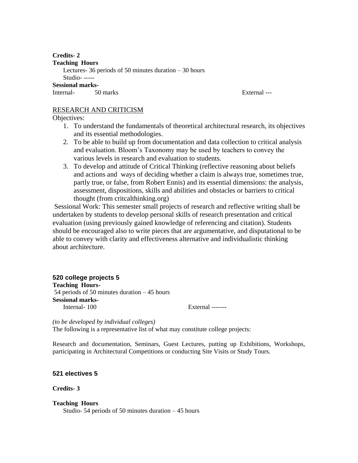**Credits- 2 Teaching Hours** Lectures- 36 periods of 50 minutes duration – 30 hours Studio- ----- **Sessional marks-**

Internal- 50 marks External ---

#### RESEARCH AND CRITICISM

Objectives:

- 1. To understand the fundamentals of theoretical architectural research, its objectives and its essential methodologies.
- 2. To be able to build up from documentation and data collection to critical analysis and evaluation. Bloom's Taxonomy may be used by teachers to convey the various levels in research and evaluation to students.
- 3. To develop and attitude of Critical Thinking (reflective [reasoning](http://en.wikipedia.org/wiki/Reasoning) about beliefs and actions and ways of deciding whether a claim is always true, sometimes true, partly true, or false, from Robert Ennis) and its essential dimensions: the analysis, assessment, dispositions, skills and abilities and obstacles or barriers to critical thought (from critcalthinking.org)

Sessional Work: This semester small projects of research and reflective writing shall be undertaken by students to develop personal skills of research presentation and critical evaluation (using previously gained knowledge of referencing and citation). Students should be encouraged also to write pieces that are argumentative, and disputational to be able to convey with clarity and effectiveness alternative and individualistic thinking about architecture.

#### **520 college projects 5 Teaching Hours-**54 periods of 50 minutes duration – 45 hours **Sessional marks-**Internal- 100 External ------**-**

*(to be developed by individual colleges)* The following is a representative list of what may constitute college projects:

Research and documentation, Seminars, Guest Lectures, putting up Exhibitions, Workshops, participating in Architectural Competitions or conducting Site Visits or Study Tours.

# **521 electives 5**

**Credits- 3**

**Teaching Hours** Studio- 54 periods of 50 minutes duration – 45 hours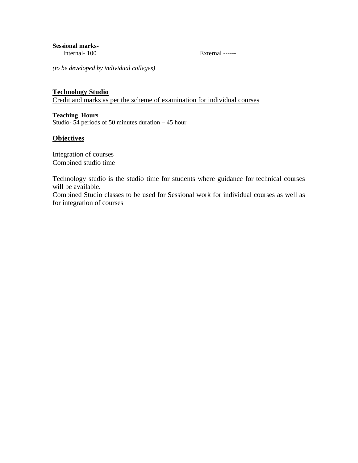**Sessional marks-**Internal- 100 External -----**-**

*(to be developed by individual colleges)*

# **Technology Studio**

Credit and marks as per the scheme of examination for individual courses

#### **Teaching Hours**

Studio- 54 periods of 50 minutes duration – 45 hour

# **Objectives**

Integration of courses Combined studio time

Technology studio is the studio time for students where guidance for technical courses will be available.

Combined Studio classes to be used for Sessional work for individual courses as well as for integration of courses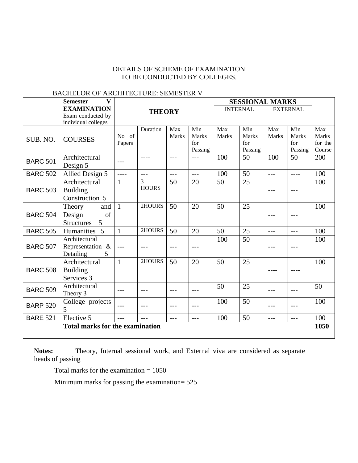# DETAILS OF SCHEME OF EXAMINATION TO BE CONDUCTED BY COLLEGES.

# BACHELOR OF ARCHITECTURE: SEMESTER V

|                 | $\mathbf{V}$<br><b>Semester</b>        | <b>THEORY</b>  |                |                     | <b>SESSIONAL MARKS</b> |                 |              |                 |              |              |
|-----------------|----------------------------------------|----------------|----------------|---------------------|------------------------|-----------------|--------------|-----------------|--------------|--------------|
|                 | <b>EXAMINATION</b>                     |                |                |                     |                        | <b>INTERNAL</b> |              | <b>EXTERNAL</b> |              |              |
|                 | Exam conducted by                      |                |                |                     |                        |                 |              |                 |              |              |
|                 | individual colleges                    |                | Duration       |                     | Min                    | Max             | Min          | Max             | Min          | Max          |
|                 |                                        | No of          |                | Max<br><b>Marks</b> | Marks                  | <b>Marks</b>    | <b>Marks</b> | <b>Marks</b>    | <b>Marks</b> | <b>Marks</b> |
| SUB. NO.        | <b>COURSES</b>                         | Papers         |                |                     | for                    |                 | for          |                 | for          | for the      |
|                 |                                        |                |                |                     | Passing                |                 | Passing      |                 | Passing      | Course       |
| <b>BARC 501</b> | Architectural                          |                | ----           | $---$               | ---                    | 100             | 50           | 100             | 50           | 200          |
|                 | Design 5                               | $---$          |                |                     |                        |                 |              |                 |              |              |
| <b>BARC 502</b> | Allied Design 5                        | $- - - -$      | $\frac{1}{2}$  | $\frac{1}{2}$       | $ -$                   | 100             | 50           | $---$           | $- - - -$    | 100          |
|                 | Architectural                          | $\mathbf{1}$   | $\overline{3}$ | 50                  | 20                     | 50              | 25           |                 |              | 100          |
| <b>BARC 503</b> | <b>Building</b>                        |                | <b>HOURS</b>   |                     |                        |                 |              |                 |              |              |
|                 | Construction 5                         |                |                |                     |                        |                 |              |                 |              |              |
|                 | Theory<br>and                          | $\mathbf{1}$   | 2HOURS         | 50                  | 20                     | 50              | 25           |                 |              | 100          |
| <b>BARC 504</b> | of<br>Design                           |                |                |                     |                        |                 |              | ---             | ---          |              |
|                 | 5<br><b>Structures</b>                 |                |                |                     |                        |                 |              |                 |              |              |
| <b>BARC 505</b> | Humanities 5                           | $\overline{1}$ | 2HOURS         | 50                  | 20                     | 50              | 25           | $\frac{1}{2}$   | $---$        | 100          |
|                 | Architectural                          |                |                |                     |                        | 100             | 50           |                 |              | 100          |
| <b>BARC 507</b> | Representation &                       | $ -$           |                | $---$               | ---                    |                 |              |                 | ---          |              |
|                 | Detailing<br>5                         |                |                |                     |                        |                 |              |                 |              |              |
|                 | Architectural                          | $\mathbf{1}$   | 2HOURS         | 50                  | 20                     | 50              | 25           |                 |              | 100          |
| <b>BARC 508</b> | <b>Building</b>                        |                |                |                     |                        |                 |              |                 |              |              |
|                 | Services 3                             |                |                |                     |                        |                 |              |                 |              |              |
| <b>BARC 509</b> | Architectural                          | $---$          |                |                     |                        | 50              | 25           |                 |              | 50           |
|                 | Theory 3                               |                |                |                     |                        |                 |              |                 |              |              |
| <b>BARP 520</b> | College projects                       |                |                |                     | ---                    | 100             | 50           | ---             | $---$        | 100          |
|                 | 5                                      |                |                |                     |                        |                 |              |                 |              |              |
| <b>BARE 521</b> | Elective 5                             | $---$          | $---$          | $---$               | $---$                  | 100             | 50           | $---$           | $---$        | 100          |
|                 | <b>Total marks for the examination</b> |                |                |                     |                        |                 |              |                 |              | 1050         |
|                 |                                        |                |                |                     |                        |                 |              |                 |              |              |

**Notes:** Theory, Internal sessional work, and External viva are considered as separate heads of passing

Total marks for the examination  $= 1050$ 

Minimum marks for passing the examination= 525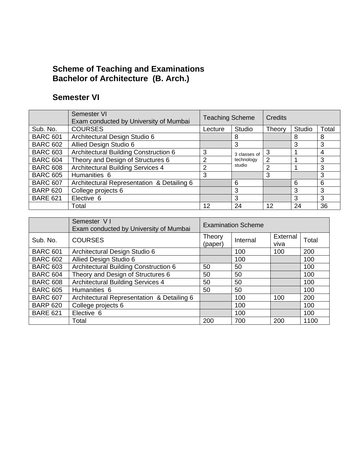# **Scheme of Teaching and Examinations Bachelor of Architecture (B. Arch.)**

# **Semester VI**

|                 | Semester VI<br>Exam conducted by University of Mumbai | <b>Teaching Scheme</b> |              | <b>Credits</b> |        |       |  |
|-----------------|-------------------------------------------------------|------------------------|--------------|----------------|--------|-------|--|
| Sub. No.        | <b>COURSES</b>                                        | Lecture                | Studio       | Theory         | Studio | Total |  |
| <b>BARC 601</b> | Architectural Design Studio 6                         |                        | 8            |                | 8      | 8     |  |
| <b>BARC 602</b> | Allied Design Studio 6                                |                        | 3            |                | 3      | 3     |  |
| <b>BARC 603</b> | Architectural Building Construction 6                 | 3                      | 3 classes of | 3              |        | 4     |  |
| <b>BARC 604</b> | Theory and Design of Structures 6                     | 2                      | technology   | 2              |        | 3     |  |
| <b>BARC 608</b> | <b>Architectural Building Services 4</b>              | $\overline{2}$         | studio       | $\overline{2}$ |        | 3     |  |
| <b>BARC 605</b> | Humanities 6                                          | 3                      |              | 3              |        | 3     |  |
| <b>BARC 607</b> | Architectural Representation & Detailing 6            |                        | 6            |                | 6      | 6     |  |
| <b>BARP 620</b> | College projects 6                                    |                        | 3            |                | 3      | 3     |  |
| <b>BARE 621</b> | Elective 6                                            |                        | 3            |                | 3      | 3     |  |
|                 | Total                                                 | 12                     | 24           | 12             | 24     | 36    |  |

|                 | Semester VI<br>Exam conducted by University of Mumbai | <b>Examination Scheme</b> |          |                  |       |  |  |
|-----------------|-------------------------------------------------------|---------------------------|----------|------------------|-------|--|--|
| Sub. No.        | <b>COURSES</b>                                        | Theory<br>(paper)         | Internal | External<br>viva | Total |  |  |
| <b>BARC 601</b> | Architectural Design Studio 6                         |                           | 100      | 100              | 200   |  |  |
| <b>BARC 602</b> | Allied Design Studio 6                                |                           | 100      |                  | 100   |  |  |
| <b>BARC 603</b> | Architectural Building Construction 6                 | 50                        | 50       |                  | 100   |  |  |
| <b>BARC 604</b> | Theory and Design of Structures 6                     | 50                        | 50       |                  | 100   |  |  |
| <b>BARC 608</b> | <b>Architectural Building Services 4</b>              | 50                        | 50       |                  | 100   |  |  |
| <b>BARC 605</b> | Humanities 6                                          | 50                        | 50       |                  | 100   |  |  |
| <b>BARC 607</b> | Architectural Representation & Detailing 6            |                           | 100      | 100              | 200   |  |  |
| <b>BARP 620</b> | College projects 6                                    |                           | 100      |                  | 100   |  |  |
| <b>BARE 621</b> | Elective 6                                            |                           | 100      |                  | 100   |  |  |
|                 | Total                                                 | 200                       | 700      | 200              | 1100  |  |  |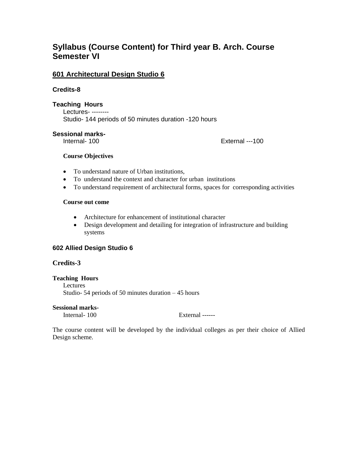# **Syllabus (Course Content) for Third year B. Arch. Course Semester VI**

# **601 Architectural Design Studio 6**

# **Credits-8**

# **Teaching Hours**

Lectures- -------- Studio- 144 periods of 50 minutes duration -120 hours

# **Sessional marks-**

Internal- 100 External ---100

# **Course Objectives**

- To understand nature of Urban institutions,
- To understand the context and character for urban institutions
- To understand requirement of architectural forms, spaces for corresponding activities

#### **Course out come**

- Architecture for enhancement of institutional character
- Design development and detailing for integration of infrastructure and building systems

# **602 Allied Design Studio 6**

# **Credits-3**

#### **Teaching Hours**

Lectures Studio- 54 periods of 50 minutes duration – 45 hours

#### **Sessional marks-**

Internal- 100 External ------

The course content will be developed by the individual colleges as per their choice of Allied Design scheme.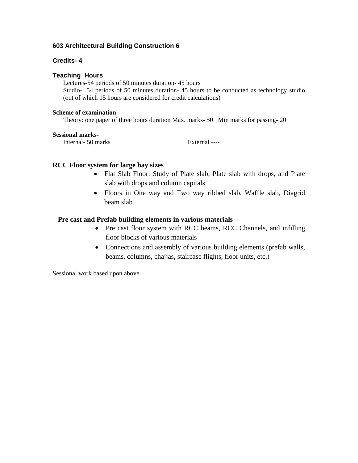# **603 Architectural Building Construction 6**

#### **Credits- 4**

# **Teaching Hours**

Lectures-54 periods of 50 minutes duration- 45 hours Studio- 54 periods of 50 minutes duration- 45 hours to be conducted as technology studio (out of which 15 hours are considered for credit calculations)

#### **Scheme of examination**

Theory: one paper of three hours duration Max. marks- 50 Min marks for passing- 20

#### **Sessional marks-**

Internal- 50 marks External ----

# **RCC Floor system for large bay sizes**

- Flat Slab Floor: Study of Plate slab, Plate slab with drops, and Plate slab with drops and column capitals
- Floors in One way and Two way ribbed slab, Waffle slab, Diagrid beam slab

# **Pre cast and Prefab building elements in various materials**

- Pre cast floor system with RCC beams, RCC Channels, and infilling floor blocks of various materials
- Connections and assembly of various building elements (prefab walls, beams, columns, chajjas, staircase flights, floor units, etc.)

Sessional work based upon above.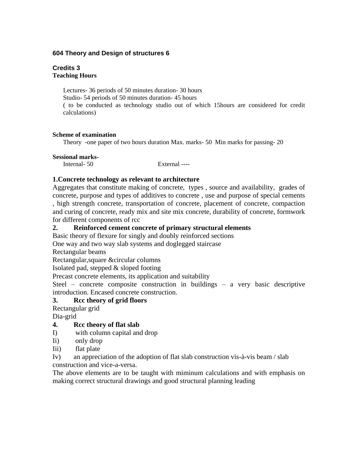# **604 Theory and Design of structures 6**

# **Credits 3 Teaching Hours**

Lectures- 36 periods of 50 minutes duration- 30 hours Studio- 54 periods of 50 minutes duration- 45 hours ( to be conducted as technology studio out of which 15hours are considered for credit calculations)

#### **Scheme of examination**

Theory -one paper of two hours duration Max. marks- 50 Min marks for passing- 20

# **Sessional marks-**

Internal- 50 External ----

# **1.Concrete technology as relevant to architecture**

Aggregates that constitute making of concrete, types , source and availability, grades of concrete, purpose and types of additives to concrete , use and purpose of special cements , high strength concrete, transportation of concrete, placement of concrete, compaction and curing of concrete, ready mix and site mix concrete, durability of concrete, formwork for different components of rcc

# **2. Reinforced cement concrete of primary structural elements**

Basic theory of flexure for singly and doubly reinforced sections

One way and two way slab systems and doglegged staircase

Rectangular beams

Rectangular,square &circular columns

Isolated pad, stepped & sloped footing

Precast concrete elements, its application and suitability

Steel – concrete composite construction in buildings – a very basic descriptive introduction. Encased concrete construction.

# **3. Rcc theory of grid floors**

Rectangular grid

Dia-grid

# **4. Rcc theory of flat slab**

- I) with column capital and drop
- Ii) only drop
- Iii) flat plate
- Iv) an appreciation of the adoption of flat slab construction vis-à-vis beam / slab construction and vice-a-versa.

The above elements are to be taught with miminum calculations and with emphasis on making correct structural drawings and good structural planning leading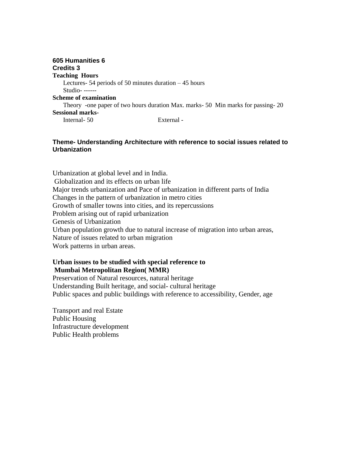**605 Humanities 6 Credits 3 Teaching Hours** Lectures- 54 periods of 50 minutes duration  $-45$  hours Studio- ------ **Scheme of examination** Theory -one paper of two hours duration Max. marks- 50 Min marks for passing- 20 **Sessional marks-**Internal- 50 External -

# **Theme- Understanding Architecture with reference to social issues related to Urbanization**

Urbanization at global level and in India. Globalization and its effects on urban life Major trends urbanization and Pace of urbanization in different parts of India Changes in the pattern of urbanization in metro cities Growth of smaller towns into cities, and its repercussions Problem arising out of rapid urbanization Genesis of Urbanization Urban population growth due to natural increase of migration into urban areas, Nature of issues related to urban migration Work patterns in urban areas.

# **Urban issues to be studied with special reference to Mumbai Metropolitan Region( MMR)**

Preservation of Natural resources, natural heritage Understanding Built heritage, and social- cultural heritage Public spaces and public buildings with reference to accessibility, Gender, age

Transport and real Estate Public Housing Infrastructure development Public Health problems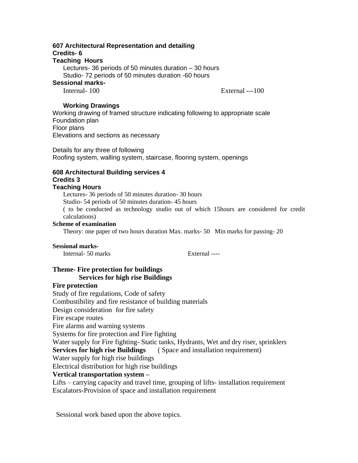#### **607 Architectural Representation and detailing Credits- 6 Teaching Hours**

Lectures- 36 periods of 50 minutes duration – 30 hours Studio- 72 periods of 50 minutes duration -60 hours

# **Sessional marks-**

Internal- 100 External ---100

# **Working Drawings**

Working drawing of framed structure indicating following to appropriate scale Foundation plan Floor plans Elevations and sections as necessary

Details for any three of following Roofing system, walling system, staircase, flooring system, openings

#### **608 Architectural Building services 4 Credits 3**

# **Teaching Hours**

Lectures- 36 periods of 50 minutes duration- 30 hours

Studio- 54 periods of 50 minutes duration- 45 hours

( to be conducted as technology studio out of which 15hours are considered for credit calculations)

#### **Scheme of examination**

Theory: one paper of two hours duration Max. marks- 50 Min marks for passing- 20

#### **Sessional marks-**

Internal- 50 marks External ----

# **Theme- Fire protection for buildings Services for high rise Buildings**

# **Fire protection**

Study of fire regulations, Code of safety Combustibility and fire resistance of building materials Design consideration for fire safety Fire escape routes Fire alarms and warning systems Systems for fire protection and Fire fighting Water supply for Fire fighting- Static tanks, Hydrants, Wet and dry riser, sprinklers **Services for high rise Buildings** ( Space and installation requirement) Water supply for high rise buildings Electrical distribution for high rise buildings **Vertical transportation system –** Lifts – carrying capacity and travel time, grouping of lifts- installation requirement

Escalators-Provision of space and installation requirement

Sessional work based upon the above topics.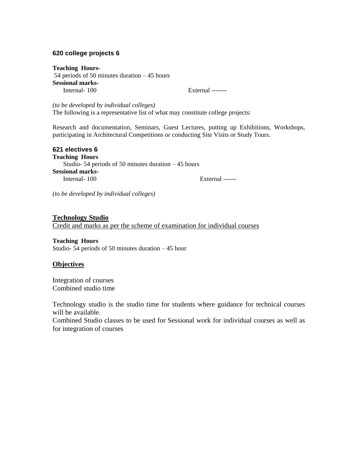#### **620 college projects 6**

**Teaching Hours-**54 periods of 50 minutes duration – 45 hours **Sessional marks-**Internal- 100 External ------**-**

*(to be developed by individual colleges)* The following is a representative list of what may constitute college projects:

Research and documentation, Seminars, Guest Lectures, putting up Exhibitions, Workshops, participating in Architectural Competitions or conducting Site Visits or Study Tours.

| 621 electives 6                                      |                |
|------------------------------------------------------|----------------|
| <b>Teaching Hours</b>                                |                |
| Studio-54 periods of 50 minutes duration $-45$ hours |                |
| <b>Sessional marks-</b>                              |                |
| Internal-100                                         | External $---$ |

*(to be developed by individual colleges)*

#### **Technology Studio**

Credit and marks as per the scheme of examination for individual courses

**Teaching Hours** Studio- 54 periods of 50 minutes duration – 45 hour

# **Objectives**

Integration of courses Combined studio time

Technology studio is the studio time for students where guidance for technical courses will be available.

Combined Studio classes to be used for Sessional work for individual courses as well as for integration of courses